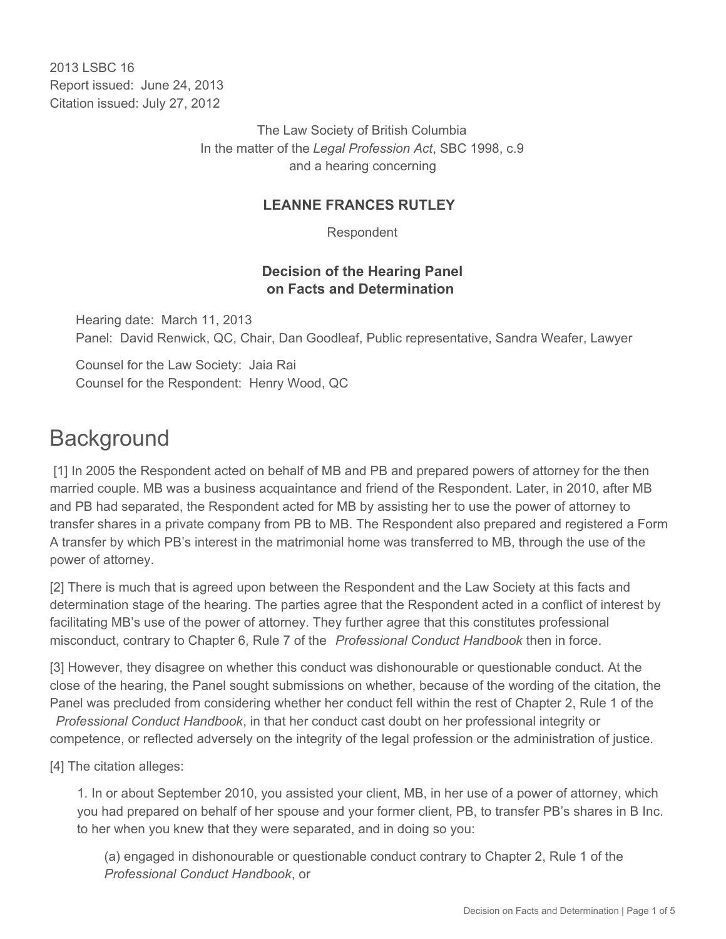2013 LSBC 16 Report issued: June 24, 2013 Citation issued: July 27, 2012

> The Law Society of British Columbia In the matter of the *Legal Profession Act*, SBC 1998, c.9 and a hearing concerning

#### **LEANNE FRANCES RUTLEY**

Respondent

#### **Decision of the Hearing Panel on Facts and Determination**

Hearing date: March 11, 2013 Panel: David Renwick, QC, Chair, Dan Goodleaf, Public representative, Sandra Weafer, Lawyer

Counsel for the Law Society: Jaia Rai Counsel for the Respondent: Henry Wood, QC

## **Background**

 [1] In 2005 the Respondent acted on behalf of MB and PB and prepared powers of attorney for the then married couple. MB was a business acquaintance and friend of the Respondent. Later, in 2010, after MB and PB had separated, the Respondent acted for MB by assisting her to use the power of attorney to transfer shares in a private company from PB to MB. The Respondent also prepared and registered a Form A transfer by which PB's interest in the matrimonial home was transferred to MB, through the use of the power of attorney.

[2] There is much that is agreed upon between the Respondent and the Law Society at this facts and determination stage of the hearing. The parties agree that the Respondent acted in a conflict of interest by facilitating MB's use of the power of attorney. They further agree that this constitutes professional misconduct, contrary to Chapter 6, Rule 7 of the *Professional Conduct Handbook* then in force.

[3] However, they disagree on whether this conduct was dishonourable or questionable conduct. At the close of the hearing, the Panel sought submissions on whether, because of the wording of the citation, the Panel was precluded from considering whether her conduct fell within the rest of Chapter 2, Rule 1 of the

*Professional Conduct Handbook*, in that her conduct cast doubt on her professional integrity or competence, or reflected adversely on the integrity of the legal profession or the administration of justice.

[4] The citation alleges:

1. In or about September 2010, you assisted your client, MB, in her use of a power of attorney, which you had prepared on behalf of her spouse and your former client, PB, to transfer PB's shares in B Inc. to her when you knew that they were separated, and in doing so you:

(a) engaged in dishonourable or questionable conduct contrary to Chapter 2, Rule 1 of the *Professional Conduct Handbook*, or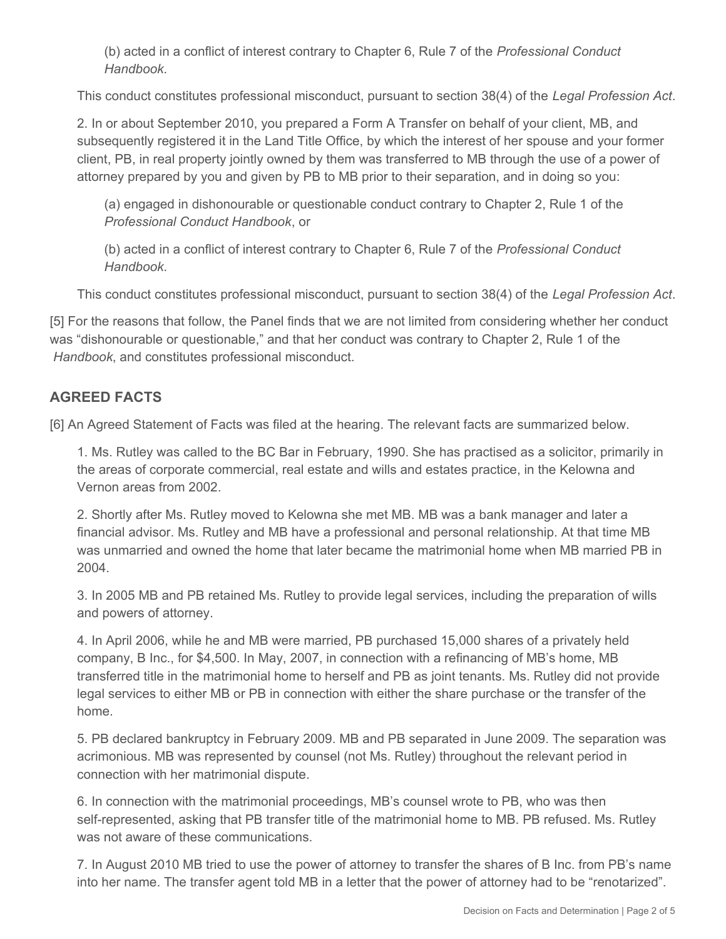(b) acted in a conflict of interest contrary to Chapter 6, Rule 7 of the *Professional Conduct Handbook*.

This conduct constitutes professional misconduct, pursuant to section 38(4) of the *Legal Profession Act*.

2. In or about September 2010, you prepared a Form A Transfer on behalf of your client, MB, and subsequently registered it in the Land Title Office, by which the interest of her spouse and your former client, PB, in real property jointly owned by them was transferred to MB through the use of a power of attorney prepared by you and given by PB to MB prior to their separation, and in doing so you:

(a) engaged in dishonourable or questionable conduct contrary to Chapter 2, Rule 1 of the *Professional Conduct Handbook*, or

(b) acted in a conflict of interest contrary to Chapter 6, Rule 7 of the *Professional Conduct Handbook*.

This conduct constitutes professional misconduct, pursuant to section 38(4) of the *Legal Profession Act*.

[5] For the reasons that follow, the Panel finds that we are not limited from considering whether her conduct was "dishonourable or questionable," and that her conduct was contrary to Chapter 2, Rule 1 of the *Handbook*, and constitutes professional misconduct.

### **AGREED FACTS**

[6] An Agreed Statement of Facts was filed at the hearing. The relevant facts are summarized below.

1. Ms. Rutley was called to the BC Bar in February, 1990. She has practised as a solicitor, primarily in the areas of corporate commercial, real estate and wills and estates practice, in the Kelowna and Vernon areas from 2002.

2. Shortly after Ms. Rutley moved to Kelowna she met MB. MB was a bank manager and later a financial advisor. Ms. Rutley and MB have a professional and personal relationship. At that time MB was unmarried and owned the home that later became the matrimonial home when MB married PB in 2004.

3. In 2005 MB and PB retained Ms. Rutley to provide legal services, including the preparation of wills and powers of attorney.

4. In April 2006, while he and MB were married, PB purchased 15,000 shares of a privately held company, B Inc., for \$4,500. In May, 2007, in connection with a refinancing of MB's home, MB transferred title in the matrimonial home to herself and PB as joint tenants. Ms. Rutley did not provide legal services to either MB or PB in connection with either the share purchase or the transfer of the home.

5. PB declared bankruptcy in February 2009. MB and PB separated in June 2009. The separation was acrimonious. MB was represented by counsel (not Ms. Rutley) throughout the relevant period in connection with her matrimonial dispute.

6. In connection with the matrimonial proceedings, MB's counsel wrote to PB, who was then self-represented, asking that PB transfer title of the matrimonial home to MB. PB refused. Ms. Rutley was not aware of these communications.

7. In August 2010 MB tried to use the power of attorney to transfer the shares of B Inc. from PB's name into her name. The transfer agent told MB in a letter that the power of attorney had to be "renotarized".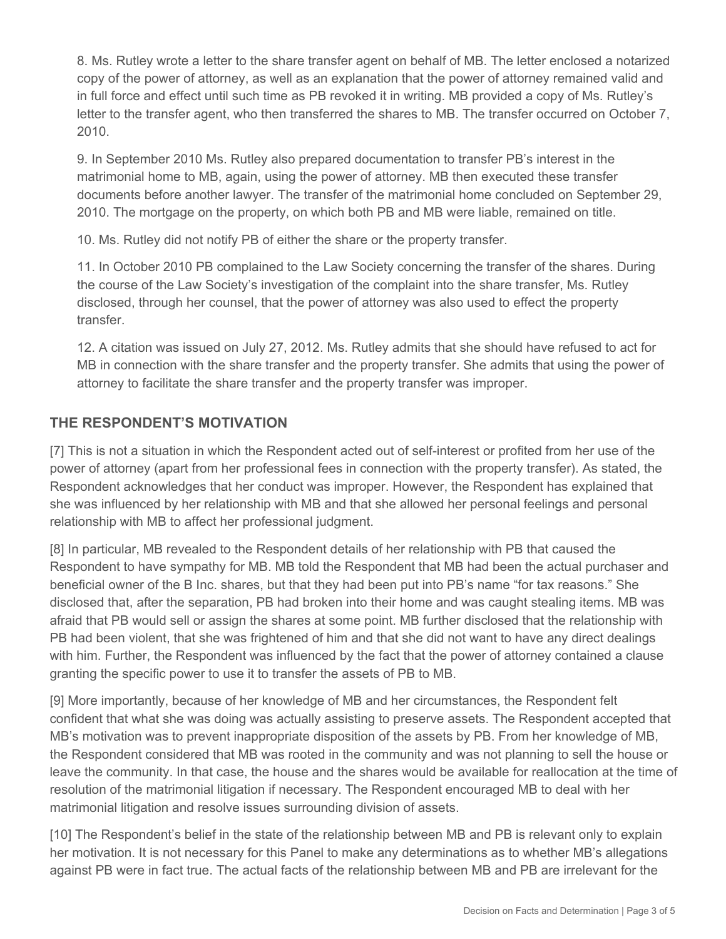8. Ms. Rutley wrote a letter to the share transfer agent on behalf of MB. The letter enclosed a notarized copy of the power of attorney, as well as an explanation that the power of attorney remained valid and in full force and effect until such time as PB revoked it in writing. MB provided a copy of Ms. Rutley's letter to the transfer agent, who then transferred the shares to MB. The transfer occurred on October 7, 2010.

9. In September 2010 Ms. Rutley also prepared documentation to transfer PB's interest in the matrimonial home to MB, again, using the power of attorney. MB then executed these transfer documents before another lawyer. The transfer of the matrimonial home concluded on September 29, 2010. The mortgage on the property, on which both PB and MB were liable, remained on title.

10. Ms. Rutley did not notify PB of either the share or the property transfer.

11. In October 2010 PB complained to the Law Society concerning the transfer of the shares. During the course of the Law Society's investigation of the complaint into the share transfer, Ms. Rutley disclosed, through her counsel, that the power of attorney was also used to effect the property transfer.

12. A citation was issued on July 27, 2012. Ms. Rutley admits that she should have refused to act for MB in connection with the share transfer and the property transfer. She admits that using the power of attorney to facilitate the share transfer and the property transfer was improper.

## **THE RESPONDENT'S MOTIVATION**

[7] This is not a situation in which the Respondent acted out of self-interest or profited from her use of the power of attorney (apart from her professional fees in connection with the property transfer). As stated, the Respondent acknowledges that her conduct was improper. However, the Respondent has explained that she was influenced by her relationship with MB and that she allowed her personal feelings and personal relationship with MB to affect her professional judgment.

[8] In particular, MB revealed to the Respondent details of her relationship with PB that caused the Respondent to have sympathy for MB. MB told the Respondent that MB had been the actual purchaser and beneficial owner of the B Inc. shares, but that they had been put into PB's name "for tax reasons." She disclosed that, after the separation, PB had broken into their home and was caught stealing items. MB was afraid that PB would sell or assign the shares at some point. MB further disclosed that the relationship with PB had been violent, that she was frightened of him and that she did not want to have any direct dealings with him. Further, the Respondent was influenced by the fact that the power of attorney contained a clause granting the specific power to use it to transfer the assets of PB to MB.

[9] More importantly, because of her knowledge of MB and her circumstances, the Respondent felt confident that what she was doing was actually assisting to preserve assets. The Respondent accepted that MB's motivation was to prevent inappropriate disposition of the assets by PB. From her knowledge of MB, the Respondent considered that MB was rooted in the community and was not planning to sell the house or leave the community. In that case, the house and the shares would be available for reallocation at the time of resolution of the matrimonial litigation if necessary. The Respondent encouraged MB to deal with her matrimonial litigation and resolve issues surrounding division of assets.

[10] The Respondent's belief in the state of the relationship between MB and PB is relevant only to explain her motivation. It is not necessary for this Panel to make any determinations as to whether MB's allegations against PB were in fact true. The actual facts of the relationship between MB and PB are irrelevant for the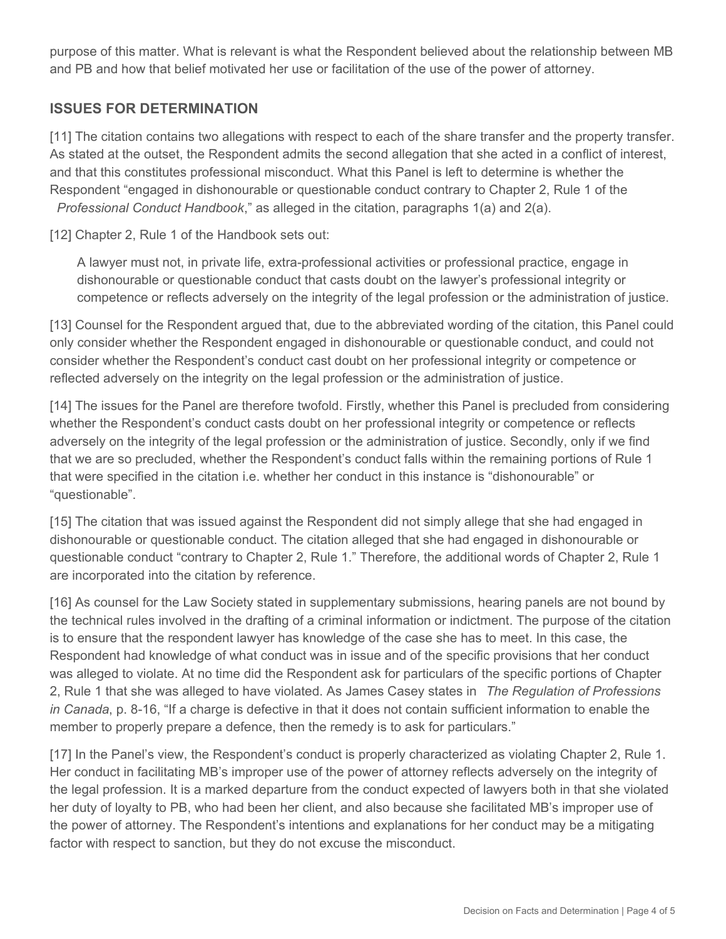purpose of this matter. What is relevant is what the Respondent believed about the relationship between MB and PB and how that belief motivated her use or facilitation of the use of the power of attorney.

#### **ISSUES FOR DETERMINATION**

[11] The citation contains two allegations with respect to each of the share transfer and the property transfer. As stated at the outset, the Respondent admits the second allegation that she acted in a conflict of interest, and that this constitutes professional misconduct. What this Panel is left to determine is whether the Respondent "engaged in dishonourable or questionable conduct contrary to Chapter 2, Rule 1 of the *Professional Conduct Handbook*," as alleged in the citation, paragraphs 1(a) and 2(a).

[12] Chapter 2, Rule 1 of the Handbook sets out:

A lawyer must not, in private life, extra-professional activities or professional practice, engage in dishonourable or questionable conduct that casts doubt on the lawyer's professional integrity or competence or reflects adversely on the integrity of the legal profession or the administration of justice.

[13] Counsel for the Respondent argued that, due to the abbreviated wording of the citation, this Panel could only consider whether the Respondent engaged in dishonourable or questionable conduct, and could not consider whether the Respondent's conduct cast doubt on her professional integrity or competence or reflected adversely on the integrity on the legal profession or the administration of justice.

[14] The issues for the Panel are therefore twofold. Firstly, whether this Panel is precluded from considering whether the Respondent's conduct casts doubt on her professional integrity or competence or reflects adversely on the integrity of the legal profession or the administration of justice. Secondly, only if we find that we are so precluded, whether the Respondent's conduct falls within the remaining portions of Rule 1 that were specified in the citation i.e. whether her conduct in this instance is "dishonourable" or "questionable".

[15] The citation that was issued against the Respondent did not simply allege that she had engaged in dishonourable or questionable conduct. The citation alleged that she had engaged in dishonourable or questionable conduct "contrary to Chapter 2, Rule 1." Therefore, the additional words of Chapter 2, Rule 1 are incorporated into the citation by reference.

[16] As counsel for the Law Society stated in supplementary submissions, hearing panels are not bound by the technical rules involved in the drafting of a criminal information or indictment. The purpose of the citation is to ensure that the respondent lawyer has knowledge of the case she has to meet. In this case, the Respondent had knowledge of what conduct was in issue and of the specific provisions that her conduct was alleged to violate. At no time did the Respondent ask for particulars of the specific portions of Chapter 2, Rule 1 that she was alleged to have violated. As James Casey states in *The Regulation of Professions in Canada*, p. 8-16, "If a charge is defective in that it does not contain sufficient information to enable the member to properly prepare a defence, then the remedy is to ask for particulars."

[17] In the Panel's view, the Respondent's conduct is properly characterized as violating Chapter 2, Rule 1. Her conduct in facilitating MB's improper use of the power of attorney reflects adversely on the integrity of the legal profession. It is a marked departure from the conduct expected of lawyers both in that she violated her duty of loyalty to PB, who had been her client, and also because she facilitated MB's improper use of the power of attorney. The Respondent's intentions and explanations for her conduct may be a mitigating factor with respect to sanction, but they do not excuse the misconduct.